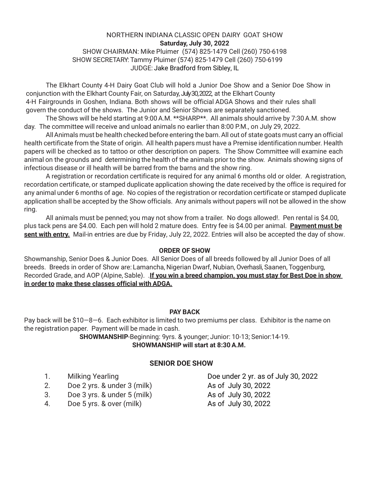#### NORTHERN INDIANA CLASSIC OPEN DAIRY GOAT SHOW **Saturday, July 30, 2022**

### SHOW CHAIRMAN: Mike Pluimer (574) 825-1479 Cell (260) 750-6198 SHOW SECRETARY: Tammy Pluimer (574) 825-1479 Cell (260) 750-6199 JUDGE: Jake Bradford from Sibley, IL

The Elkhart County 4-H Dairy Goat Club will hold a Junior Doe Show and a Senior Doe Show in conjunction with the Elkhart County Fair, on Saturday, July 30, 2022, at the Elkhart County 4-H Fairgrounds in Goshen, Indiana. Both shows will be official ADGA Shows and their rules shall govern the conduct of the shows. The Junior and Senior Shows are separately sanctioned.

The Shows will be held starting at 9:00 A.M. \*\*SHARP\*\*. All animals should arrive by 7:30 A.M. show day. The committee will receive and unload animals no earlier than 8:00 P.M., on July 29, 2022.

AllAnimals must be health checked before entering the barn.All out of state goats must carry an official health certificate from the State of origin. All health papers must have a Premise identification number. Health papers will be checked as to tattoo or other description on papers. The Show Committee will examine each animal on the grounds and determining the health of the animals prior to the show. Animals showing signs of infectious disease or ill health will be barred from the barns and the show ring.

A registration or recordation certificate is required for any animal 6 months old or older. A registration, recordation certificate, or stamped duplicate application showing the date received by the office is required for any animal under 6 months of age. No copies of the registration or recordation certificate or stamped duplicate application shall be accepted by the Show officials. Any animals without papers will not be allowed in the show ring.

All animals must be penned; you may not show from a trailer. No dogs allowed!. Pen rental is \$4.00, plus tack pens are \$4.00. Each pen will hold 2 mature does. Entry fee is \$4.00 per animal. **Payment must be sent with entry.** Mail-in entries are due by Friday, July 22, 2022. Entries will also be accepted the day of show.

#### **ORDER OF SHOW**

Showmanship, Senior Does & Junior Does. All Senior Does of all breeds followed by all Junior Does of all breeds. Breeds in order of Show are: Lamancha, Nigerian Dwarf, Nubian, Overhasli, Saanen, Toggenburg, Recorded Grade, and AOP (Alpine, Sable). .**If you win a breed champion, you must stay for Best Doe in show in order to make these classes official with ADGA.**

#### **PAY BACK**

Pay back will be \$10—8—6. Each exhibitor is limited to two premiums per class. Exhibitor is the name on the registration paper. Payment will be made in cash.

> **SHOWMANSHIP**-Beginning: 9yrs. & younger; Junior: 10-13; Senior:14-19. **SHOWMANSHIP will start at 8:30A.M.**

#### **SENIOR DOE SHOW**

- 
- 2. Doe 2 yrs. & under 3 (milk) As of July 30, 2022
- 3. Doe 3 yrs. & under 5 (milk) As of July 30, 2022
- 4. Doe 5 yrs. & over (milk) As of July 30, 2022

1. Milking Yearling **Doe under 2 yr.** as of July 30, 2022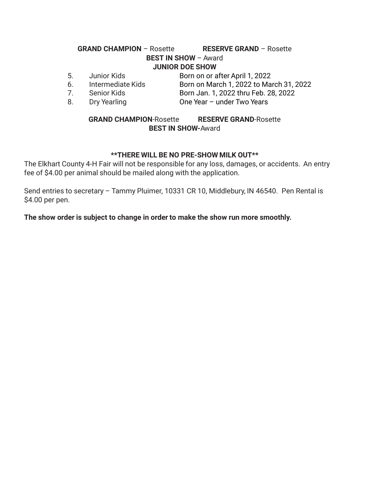## **GRAND CHAMPION** – Rosette **RESERVE GRAND** – Rosette **BEST IN SHOW** – Award **JUNIOR DOE SHOW**

- 5. Junior Kids Born on or after April 1, 2022
- 
- 7. Senior Kids Born Jan. 1, 2022 thru Feb. 28, 2022
- 6. Intermediate Kids Born on March 1, 2022 to March 31, 2022
- 
- 8. Dry Yearling **Disk Channel Price Year under Two Years**

## **GRAND CHAMPION**-Rosette **RESERVE GRAND**-Rosette **BEST IN SHOW-**Award

# **\*\*THERE WILL BE NO PRE-SHOW MILK OUT\*\***

The Elkhart County 4-H Fair will not be responsible for any loss, damages, or accidents. An entry fee of \$4.00 per animal should be mailed along with the application.

Send entries to secretary – Tammy Pluimer, 10331 CR 10, Middlebury, IN 46540. Pen Rental is \$4.00 per pen.

**The show order is subject to change in order to make the show run more smoothly.**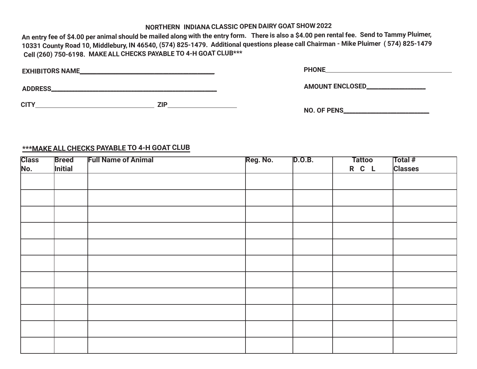# **NORTHERN INDIANACLASSIC OPEN DAIRY GOAT SHOW 2022**

An entry fee of \$4.00 per animal should be mailed along with the entry form. There is also a \$4.00 pen rental fee. Send to Tammy Pluimer, 10331 County Road 10, Middlebury, IN 46540, (574) 825-1479. Additional questions please call Chairman - Mike Pluimer (574) 825-1479 **Cell (260) 750-6198. MAKEALL CHECKS PAYABLE TO 4-H GOAT CLUB\*\*\***

| <b>EXHIBITORS NAME_</b> |            | <b>PHONE</b>            |  |
|-------------------------|------------|-------------------------|--|
|                         |            |                         |  |
| <b>ADDRESS</b>          |            | <b>AMOUNT ENCLOSED_</b> |  |
|                         |            |                         |  |
| <b>CITY</b>             | <b>ZIP</b> |                         |  |
|                         |            | NO. OF PENS             |  |

### **\*\*\*MAKE ALL CHECKS PAYABLE TO 4-H GOAT CLUB**

| <b>Class</b> | <b>Breed</b> | <b>Full Name of Animal</b> | Reg. No. | D.0.B. | <b>Tattoo</b> | Total #        |
|--------------|--------------|----------------------------|----------|--------|---------------|----------------|
| No.          | Initial      |                            |          |        | R C L         | <b>Classes</b> |
|              |              |                            |          |        |               |                |
|              |              |                            |          |        |               |                |
|              |              |                            |          |        |               |                |
|              |              |                            |          |        |               |                |
|              |              |                            |          |        |               |                |
|              |              |                            |          |        |               |                |
|              |              |                            |          |        |               |                |
|              |              |                            |          |        |               |                |
|              |              |                            |          |        |               |                |
|              |              |                            |          |        |               |                |
|              |              |                            |          |        |               |                |